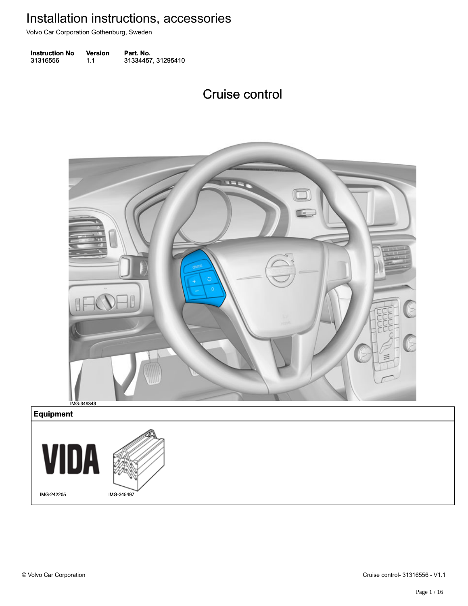Volvo Car Corporation Gothenburg, Sweden

**Instruction No** Version Part. No. 31316556 1.1 31334457, 31295410 313165561.131334457, 31295410

#### Cruise control Cruise control



**Equipment Equipment**

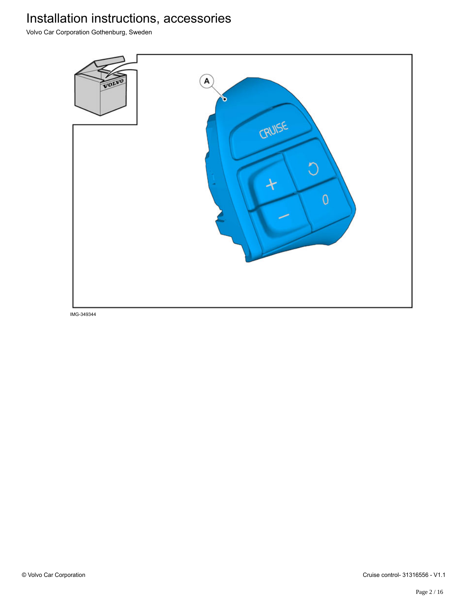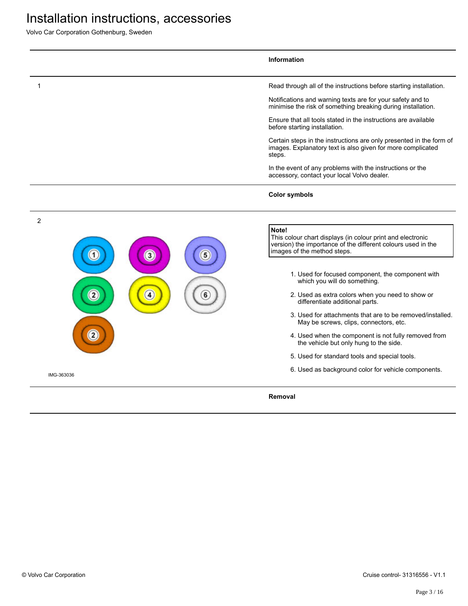|                | Information                                                                                                                                                        |
|----------------|--------------------------------------------------------------------------------------------------------------------------------------------------------------------|
|                | Read through all of the instructions before starting installation.                                                                                                 |
|                | Notifications and warning texts are for your safety and to<br>minimise the risk of something breaking during installation.                                         |
|                | Ensure that all tools stated in the instructions are available<br>before starting installation.                                                                    |
|                | Certain steps in the instructions are only presented in the form of<br>images. Explanatory text is also given for more complicated<br>steps.                       |
|                | In the event of any problems with the instructions or the<br>accessory, contact your local Volvo dealer.                                                           |
|                | <b>Color symbols</b>                                                                                                                                               |
| $\overline{2}$ |                                                                                                                                                                    |
| $\mathbf{3}$   | Note!<br>This colour chart displays (in colour print and electronic<br>version) the importance of the different colours used in the<br>images of the method steps. |
|                | 1. Used for focused component, the component with<br>which you will do something.                                                                                  |
|                | 2. Used as extra colors when you need to show or<br>differentiate additional parts.                                                                                |
|                | 3. Used for attachments that are to be removed/installed.<br>May be screws, clips, connectors, etc.                                                                |
|                | 4. Used when the component is not fully removed from<br>the vehicle but only hung to the side.                                                                     |
|                | 5. Used for standard tools and special tools.                                                                                                                      |
| IMG-363036     | 6. Used as background color for vehicle components.                                                                                                                |
|                | Removal                                                                                                                                                            |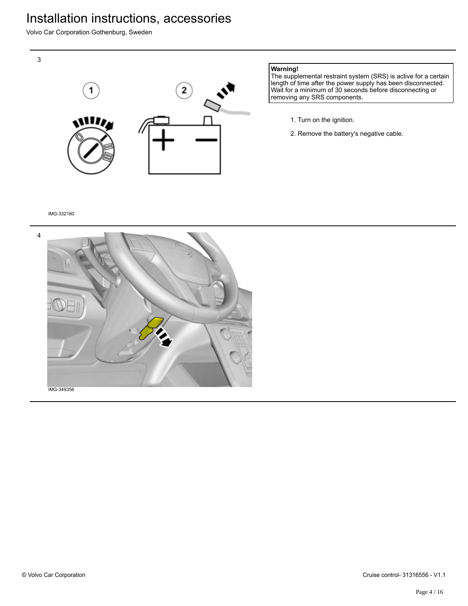Volvo Car Corporation Gothenburg, Sweden



#### **Warning!**

The supplemental restraint system (SRS) is active for a certain length of time after the power supply has been disconnected. Wait for a minimum of 30 seconds before disconnecting or removing any SRS components.

- 1. Turn on the ignition.
- 2. Remove the battery's negative cable.

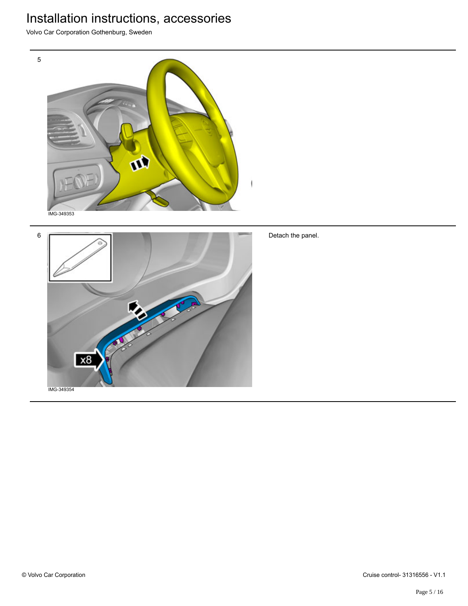Volvo Car Corporation Gothenburg, Sweden





Detach the panel.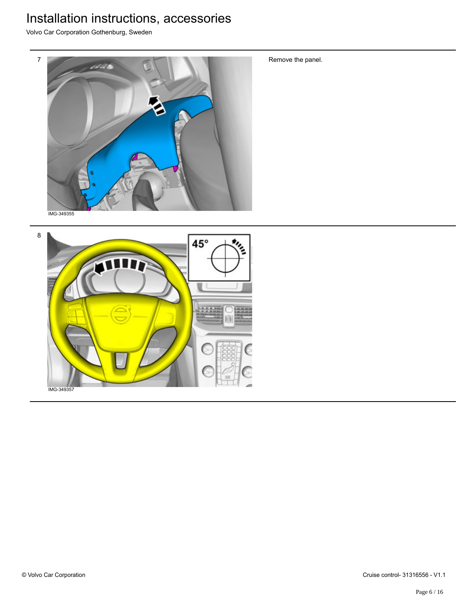Volvo Car Corporation Gothenburg, Sweden



8 一 45° IMG-349357

Remove the panel.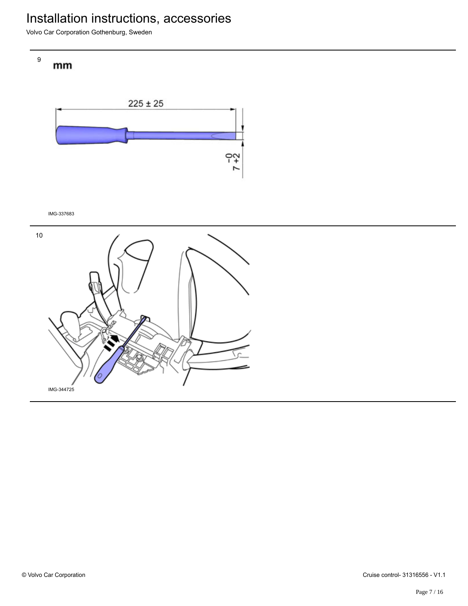Volvo Car Corporation Gothenburg, Sweden





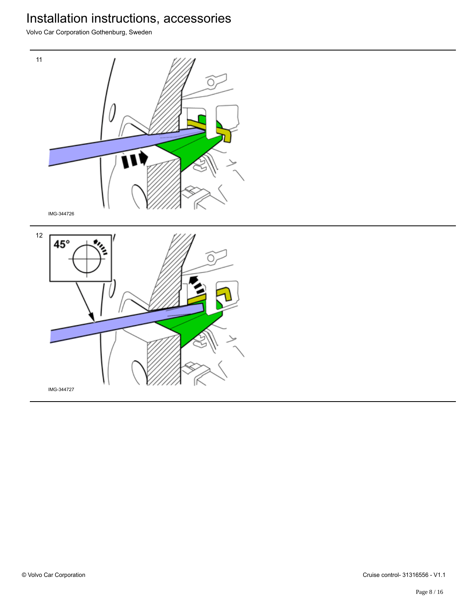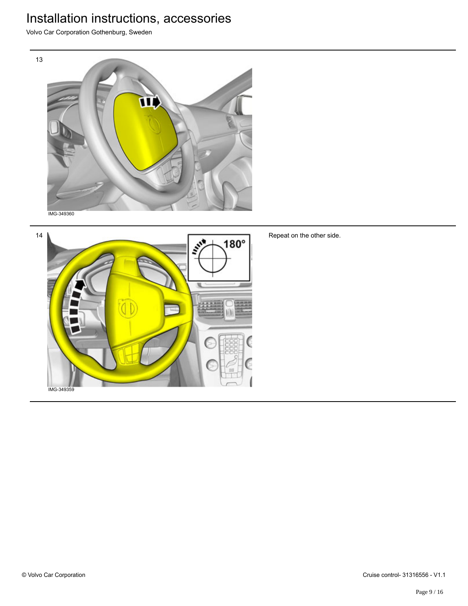Volvo Car Corporation Gothenburg, Sweden



14  $\overline{\mathbf{r}^*}$  $180^\circ$ 

Repeat on the other side.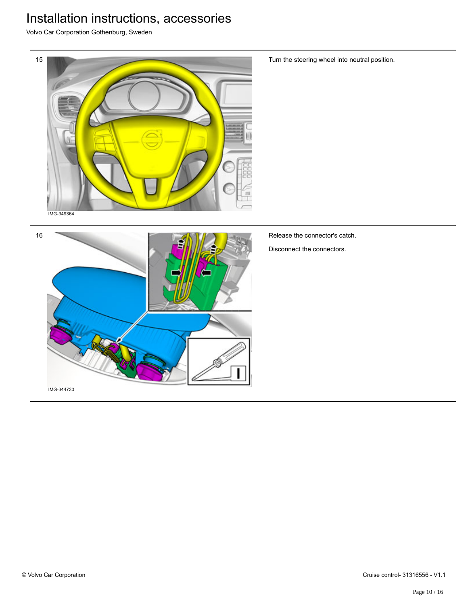

Turn the steering wheel into neutral position.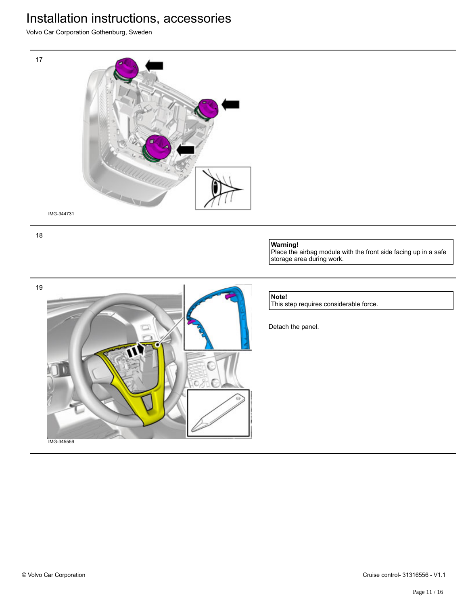Volvo Car Corporation Gothenburg, Sweden



18

#### **Warning!**

Place the airbag module with the front side facing up in a safe storage area during work.



#### **Note!**

This step requires considerable force.

Detach the panel.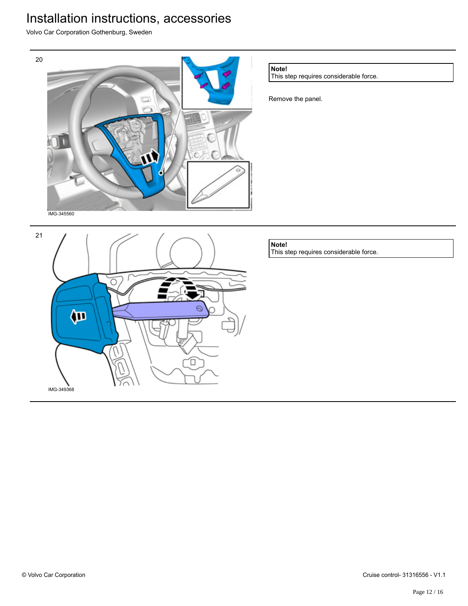Volvo Car Corporation Gothenburg, Sweden



Έ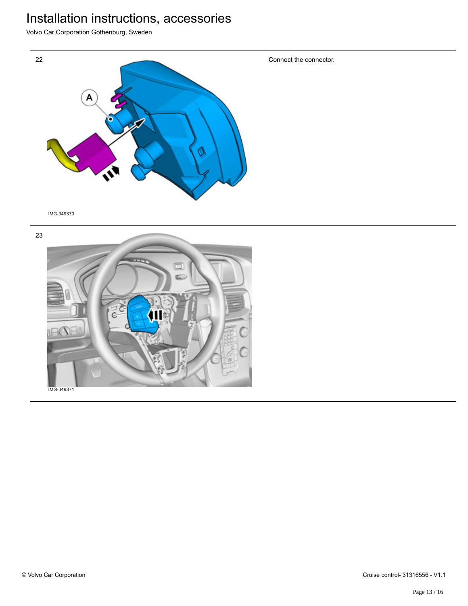Volvo Car Corporation Gothenburg, Sweden





© Volvo Car Corporation Cruise control- 31316556 - V1.1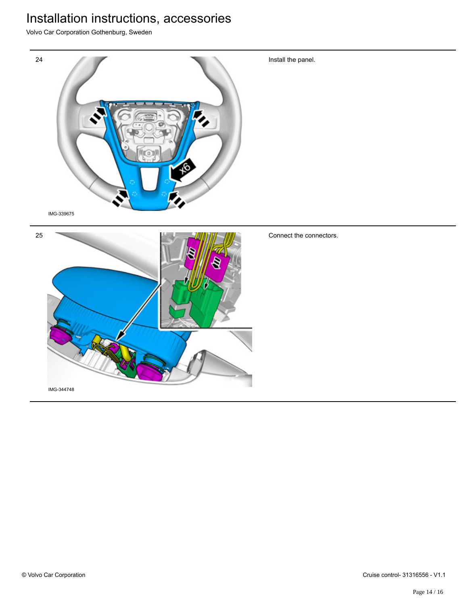Volvo Car Corporation Gothenburg, Sweden



Install the panel.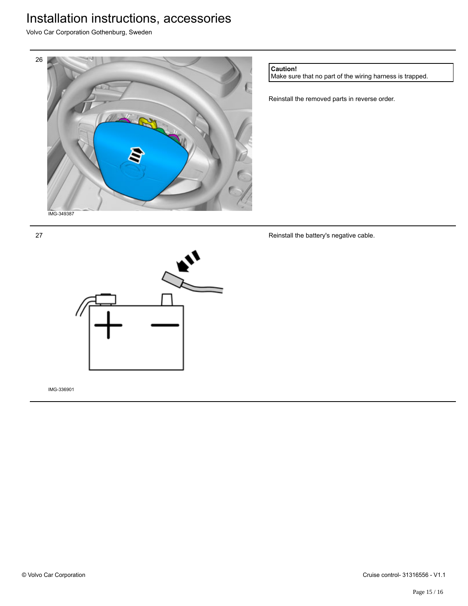Volvo Car Corporation Gothenburg, Sweden



**Caution!**

Make sure that no part of the wiring harness is trapped.

Reinstall the removed parts in reverse order.

Reinstall the battery's negative cable.



IMG-336901

27